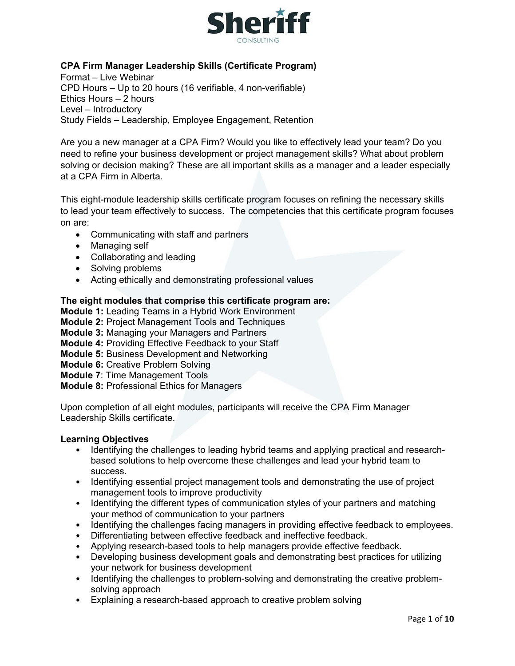

# **CPA Firm Manager Leadership Skills (Certificate Program)**

Format – Live Webinar CPD Hours – Up to 20 hours (16 verifiable, 4 non-verifiable) Ethics Hours – 2 hours Level – Introductory Study Fields – Leadership, Employee Engagement, Retention

Are you a new manager at a CPA Firm? Would you like to effectively lead your team? Do you need to refine your business development or project management skills? What about problem solving or decision making? These are all important skills as a manager and a leader especially at a CPA Firm in Alberta.

This eight-module leadership skills certificate program focuses on refining the necessary skills to lead your team effectively to success. The competencies that this certificate program focuses on are:

- Communicating with staff and partners
- Managing self
- Collaborating and leading
- Solving problems
- Acting ethically and demonstrating professional values

## **The eight modules that comprise this certificate program are:**

- **Module 1:** Leading Teams in a Hybrid Work Environment
- **Module 2:** Project Management Tools and Techniques
- **Module 3:** Managing your Managers and Partners
- **Module 4:** Providing Effective Feedback to your Staff
- **Module 5:** Business Development and Networking
- **Module 6:** Creative Problem Solving
- **Module 7**: Time Management Tools
- **Module 8:** Professional Ethics for Managers

Upon completion of all eight modules, participants will receive the CPA Firm Manager Leadership Skills certificate.

## **Learning Objectives**

- Identifying the challenges to leading hybrid teams and applying practical and researchbased solutions to help overcome these challenges and lead your hybrid team to success.
- Identifying essential project management tools and demonstrating the use of project management tools to improve productivity
- Identifying the different types of communication styles of your partners and matching your method of communication to your partners
- Identifying the challenges facing managers in providing effective feedback to employees.
- Differentiating between effective feedback and ineffective feedback.
- Applying research-based tools to help managers provide effective feedback.
- Developing business development goals and demonstrating best practices for utilizing your network for business development
- Identifying the challenges to problem-solving and demonstrating the creative problemsolving approach
- Explaining a research-based approach to creative problem solving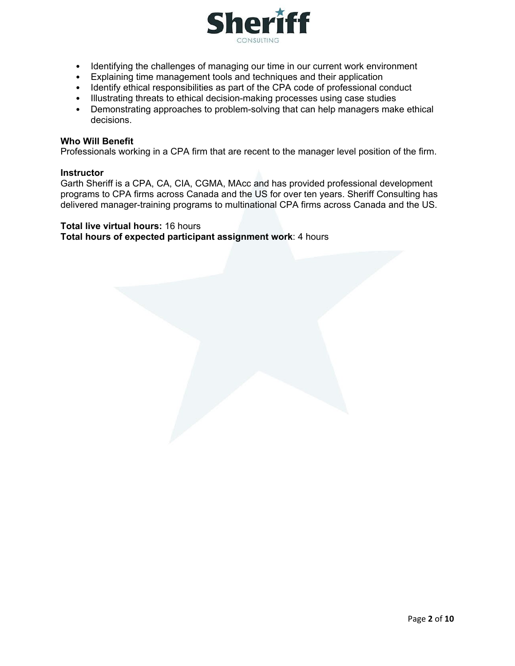

- Identifying the challenges of managing our time in our current work environment
- Explaining time management tools and techniques and their application
- Identify ethical responsibilities as part of the CPA code of professional conduct
- Illustrating threats to ethical decision-making processes using case studies
- Demonstrating approaches to problem-solving that can help managers make ethical decisions.

## **Who Will Benefit**

Professionals working in a CPA firm that are recent to the manager level position of the firm.

## **Instructor**

Garth Sheriff is a CPA, CA, CIA, CGMA, MAcc and has provided professional development programs to CPA firms across Canada and the US for over ten years. Sheriff Consulting has delivered manager-training programs to multinational CPA firms across Canada and the US.

## **Total live virtual hours:** 16 hours

**Total hours of expected participant assignment work**: 4 hours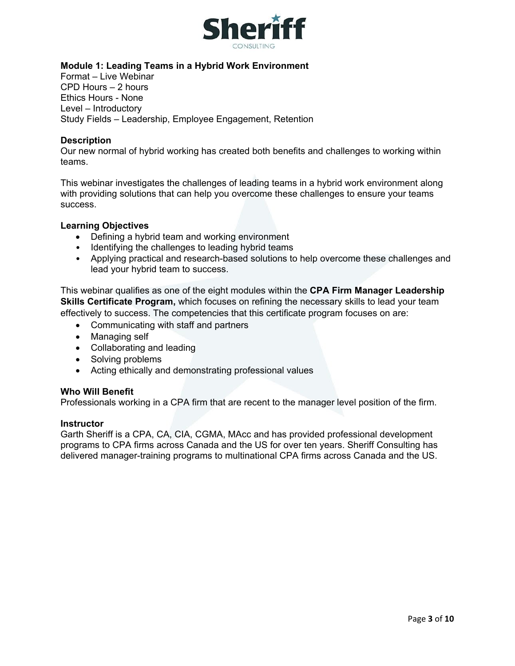

## **Module 1: Leading Teams in a Hybrid Work Environment**

Format – Live Webinar CPD Hours – 2 hours Ethics Hours - None Level – Introductory Study Fields – Leadership, Employee Engagement, Retention

## **Description**

Our new normal of hybrid working has created both benefits and challenges to working within teams.

This webinar investigates the challenges of leading teams in a hybrid work environment along with providing solutions that can help you overcome these challenges to ensure your teams success.

## **Learning Objectives**

- Defining a hybrid team and working environment
- Identifying the challenges to leading hybrid teams
- Applying practical and research-based solutions to help overcome these challenges and lead your hybrid team to success.

This webinar qualifies as one of the eight modules within the **CPA Firm Manager Leadership Skills Certificate Program,** which focuses on refining the necessary skills to lead your team effectively to success. The competencies that this certificate program focuses on are:

- Communicating with staff and partners
- Managing self
- Collaborating and leading
- Solving problems
- Acting ethically and demonstrating professional values

## **Who Will Benefit**

Professionals working in a CPA firm that are recent to the manager level position of the firm.

#### **Instructor**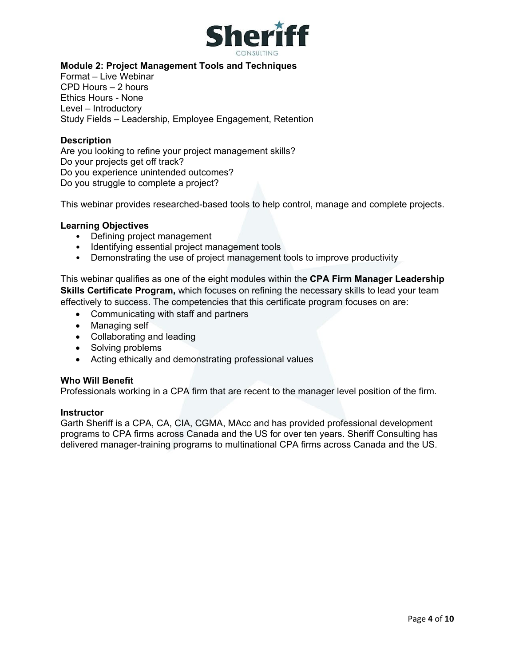

# **Module 2: Project Management Tools and Techniques**

Format – Live Webinar CPD Hours – 2 hours Ethics Hours - None Level – Introductory Study Fields – Leadership, Employee Engagement, Retention

## **Description**

Are you looking to refine your project management skills? Do your projects get off track? Do you experience unintended outcomes? Do you struggle to complete a project?

This webinar provides researched-based tools to help control, manage and complete projects.

## **Learning Objectives**

- Defining project management
- Identifying essential project management tools
- Demonstrating the use of project management tools to improve productivity

This webinar qualifies as one of the eight modules within the **CPA Firm Manager Leadership Skills Certificate Program,** which focuses on refining the necessary skills to lead your team effectively to success. The competencies that this certificate program focuses on are:

- Communicating with staff and partners
- Managing self
- Collaborating and leading
- Solving problems
- Acting ethically and demonstrating professional values

#### **Who Will Benefit**

Professionals working in a CPA firm that are recent to the manager level position of the firm.

#### **Instructor**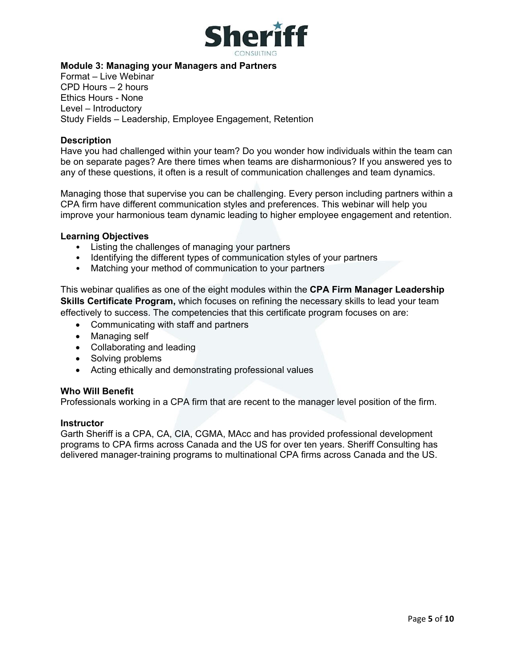

**Module 3: Managing your Managers and Partners** 

Format – Live Webinar CPD Hours – 2 hours Ethics Hours - None Level – Introductory Study Fields – Leadership, Employee Engagement, Retention

#### **Description**

Have you had challenged within your team? Do you wonder how individuals within the team can be on separate pages? Are there times when teams are disharmonious? If you answered yes to any of these questions, it often is a result of communication challenges and team dynamics.

Managing those that supervise you can be challenging. Every person including partners within a CPA firm have different communication styles and preferences. This webinar will help you improve your harmonious team dynamic leading to higher employee engagement and retention.

#### **Learning Objectives**

- Listing the challenges of managing your partners
- Identifying the different types of communication styles of your partners
- Matching your method of communication to your partners

This webinar qualifies as one of the eight modules within the **CPA Firm Manager Leadership Skills Certificate Program,** which focuses on refining the necessary skills to lead your team effectively to success. The competencies that this certificate program focuses on are:

- Communicating with staff and partners
- Managing self
- Collaborating and leading
- Solving problems
- Acting ethically and demonstrating professional values

#### **Who Will Benefit**

Professionals working in a CPA firm that are recent to the manager level position of the firm.

#### **Instructor**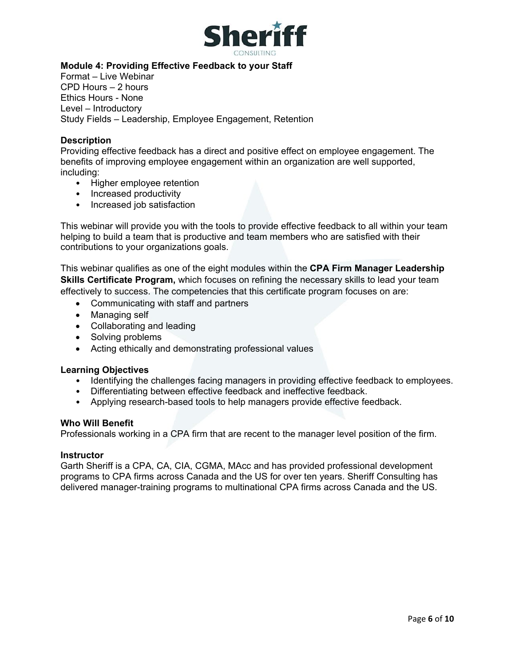

## **Module 4: Providing Effective Feedback to your Staff**

Format – Live Webinar CPD Hours – 2 hours Ethics Hours - None Level – Introductory Study Fields – Leadership, Employee Engagement, Retention

## **Description**

Providing effective feedback has a direct and positive effect on employee engagement. The benefits of improving employee engagement within an organization are well supported, including:

- Higher employee retention
- Increased productivity
- Increased job satisfaction

This webinar will provide you with the tools to provide effective feedback to all within your team helping to build a team that is productive and team members who are satisfied with their contributions to your organizations goals.

This webinar qualifies as one of the eight modules within the **CPA Firm Manager Leadership Skills Certificate Program,** which focuses on refining the necessary skills to lead your team effectively to success. The competencies that this certificate program focuses on are:

- Communicating with staff and partners
- Managing self
- Collaborating and leading
- Solving problems
- Acting ethically and demonstrating professional values

## **Learning Objectives**

- Identifying the challenges facing managers in providing effective feedback to employees.
- Differentiating between effective feedback and ineffective feedback.
- Applying research-based tools to help managers provide effective feedback.

## **Who Will Benefit**

Professionals working in a CPA firm that are recent to the manager level position of the firm.

#### **Instructor**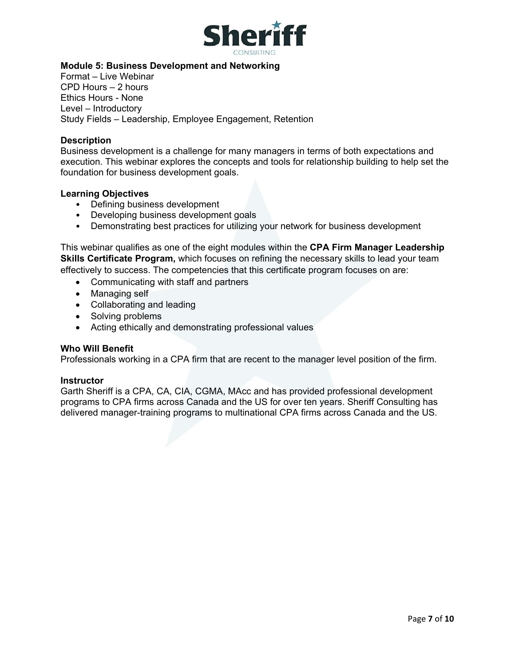

## **Module 5: Business Development and Networking**

Format – Live Webinar CPD Hours – 2 hours Ethics Hours - None Level – Introductory Study Fields – Leadership, Employee Engagement, Retention

#### **Description**

Business development is a challenge for many managers in terms of both expectations and execution. This webinar explores the concepts and tools for relationship building to help set the foundation for business development goals.

#### **Learning Objectives**

- Defining business development
- Developing business development goals
- Demonstrating best practices for utilizing your network for business development

This webinar qualifies as one of the eight modules within the **CPA Firm Manager Leadership Skills Certificate Program,** which focuses on refining the necessary skills to lead your team effectively to success. The competencies that this certificate program focuses on are:

- Communicating with staff and partners
- Managing self
- Collaborating and leading
- Solving problems
- Acting ethically and demonstrating professional values

#### **Who Will Benefit**

Professionals working in a CPA firm that are recent to the manager level position of the firm.

#### **Instructor**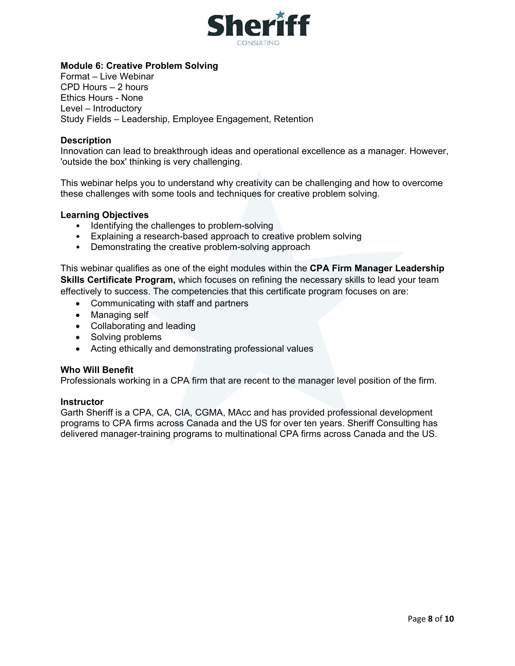

## **Module 6: Creative Problem Solving**

Format – Live Webinar CPD Hours – 2 hours Ethics Hours - None Level – Introductory Study Fields – Leadership, Employee Engagement, Retention

#### **Description**

Innovation can lead to breakthrough ideas and operational excellence as a manager. However, 'outside the box' thinking is very challenging.

This webinar helps you to understand why creativity can be challenging and how to overcome these challenges with some tools and techniques for creative problem solving.

## **Learning Objectives**

- Identifying the challenges to problem-solving
- Explaining a research-based approach to creative problem solving
- Demonstrating the creative problem-solving approach

This webinar qualifies as one of the eight modules within the **CPA Firm Manager Leadership Skills Certificate Program,** which focuses on refining the necessary skills to lead your team effectively to success. The competencies that this certificate program focuses on are:

- Communicating with staff and partners
- Managing self
- Collaborating and leading
- Solving problems
- Acting ethically and demonstrating professional values

#### **Who Will Benefit**

Professionals working in a CPA firm that are recent to the manager level position of the firm.

#### **Instructor**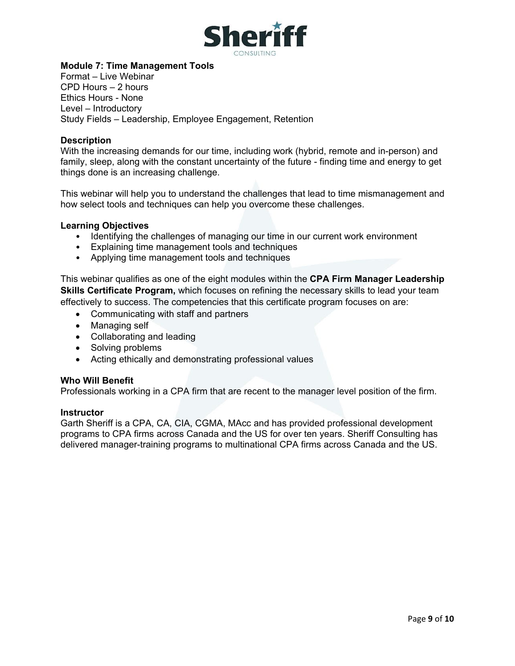

## **Module 7: Time Management Tools**

Format – Live Webinar CPD Hours – 2 hours Ethics Hours - None Level – Introductory Study Fields – Leadership, Employee Engagement, Retention

## **Description**

With the increasing demands for our time, including work (hybrid, remote and in-person) and family, sleep, along with the constant uncertainty of the future - finding time and energy to get things done is an increasing challenge.

This webinar will help you to understand the challenges that lead to time mismanagement and how select tools and techniques can help you overcome these challenges.

## **Learning Objectives**

- Identifying the challenges of managing our time in our current work environment
- Explaining time management tools and techniques
- Applying time management tools and techniques

This webinar qualifies as one of the eight modules within the **CPA Firm Manager Leadership Skills Certificate Program,** which focuses on refining the necessary skills to lead your team effectively to success. The competencies that this certificate program focuses on are:

- Communicating with staff and partners
- Managing self
- Collaborating and leading
- Solving problems
- Acting ethically and demonstrating professional values

#### **Who Will Benefit**

Professionals working in a CPA firm that are recent to the manager level position of the firm.

#### **Instructor**